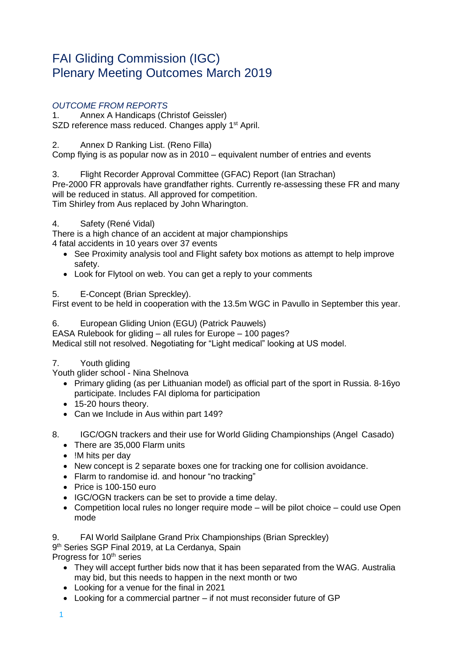# FAI Gliding Commission (IGC) Plenary Meeting Outcomes March 2019

# *OUTCOME FROM REPORTS*

1. Annex A Handicaps (Christof Geissler) SZD reference mass reduced. Changes apply 1<sup>st</sup> April.

2. Annex D Ranking List. (Reno Filla)

Comp flying is as popular now as in 2010 – equivalent number of entries and events

3. Flight Recorder Approval Committee (GFAC) Report (Ian Strachan) Pre-2000 FR approvals have grandfather rights. Currently re-assessing these FR and many will be reduced in status. All approved for competition.

Tim Shirley from Aus replaced by John Wharington.

# 4. Safety (René Vidal)

There is a high chance of an accident at major championships 4 fatal accidents in 10 years over 37 events

- See Proximity analysis tool and Flight safety box motions as attempt to help improve safety.
- Look for Flytool on web. You can get a reply to your comments

# 5. E-Concept (Brian Spreckley).

First event to be held in cooperation with the 13.5m WGC in Pavullo in September this year.

# 6. European Gliding Union (EGU) (Patrick Pauwels)

EASA Rulebook for gliding – all rules for Europe – 100 pages? Medical still not resolved. Negotiating for "Light medical" looking at US model.

# 7. Youth gliding

Youth glider school - Nina Shelnova

- Primary gliding (as per Lithuanian model) as official part of the sport in Russia. 8-16yo participate. Includes FAI diploma for participation
- 15-20 hours theory.
- Can we Include in Aus within part 149?
- 8. IGC/OGN trackers and their use for World Gliding Championships (Angel Casado)
	- There are 35,000 Flarm units
	- !M hits per day
	- New concept is 2 separate boxes one for tracking one for collision avoidance.
	- Flarm to randomise id. and honour "no tracking"
	- Price is 100-150 euro
	- IGC/OGN trackers can be set to provide a time delay.
	- Competition local rules no longer require mode will be pilot choice could use Open mode

9. FAI World Sailplane Grand Prix Championships (Brian Spreckley) 9<sup>th</sup> Series SGP Final 2019, at La Cerdanya, Spain Progress for 10<sup>th</sup> series

- They will accept further bids now that it has been separated from the WAG. Australia may bid, but this needs to happen in the next month or two
- Looking for a venue for the final in 2021
- Looking for a commercial partner if not must reconsider future of GP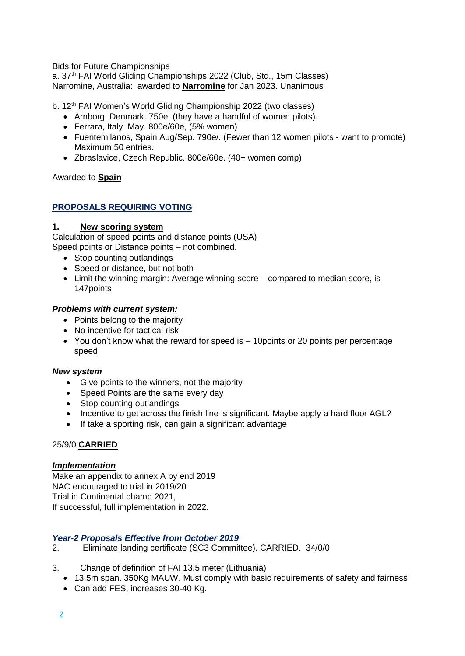Bids for Future Championships

a. 37<sup>th</sup> FAI World Gliding Championships 2022 (Club, Std., 15m Classes) Narromine, Australia: awarded to **Narromine** for Jan 2023. Unanimous

b. 12<sup>th</sup> FAI Women's World Gliding Championship 2022 (two classes)

- Arnborg, Denmark. 750e. (they have a handful of women pilots).
- Ferrara, Italy May. 800e/60e, (5% women)
- Fuentemilanos, Spain Aug/Sep. 790e/. (Fewer than 12 women pilots want to promote) Maximum 50 entries.
- Zbraslavice, Czech Republic. 800e/60e. (40+ women comp)

Awarded to **Spain**

### **PROPOSALS REQUIRING VOTING**

#### **1. New scoring system**

Calculation of speed points and distance points (USA) Speed points or Distance points - not combined.

- Stop counting outlandings
- Speed or distance, but not both
- Limit the winning margin: Average winning score compared to median score, is 147points

#### *Problems with current system:*

- Points belong to the majority
- No incentive for tactical risk
- You don't know what the reward for speed is 10 points or 20 points per percentage speed

#### *New system*

- Give points to the winners, not the majority
- Speed Points are the same every day
- Stop counting outlandings
- Incentive to get across the finish line is significant. Maybe apply a hard floor AGL?
- If take a sporting risk, can gain a significant advantage

### 25/9/0 **CARRIED**

#### *Implementation*

Make an appendix to annex A by end 2019 NAC encouraged to trial in 2019/20 Trial in Continental champ 2021, If successful, full implementation in 2022.

### *Year-2 Proposals Effective from October 2019*

- 2. Eliminate landing certificate (SC3 Committee). CARRIED. 34/0/0
- 3. Change of definition of FAI 13.5 meter (Lithuania)
	- 13.5m span. 350Kg MAUW. Must comply with basic requirements of safety and fairness
	- Can add FES, increases 30-40 Kg.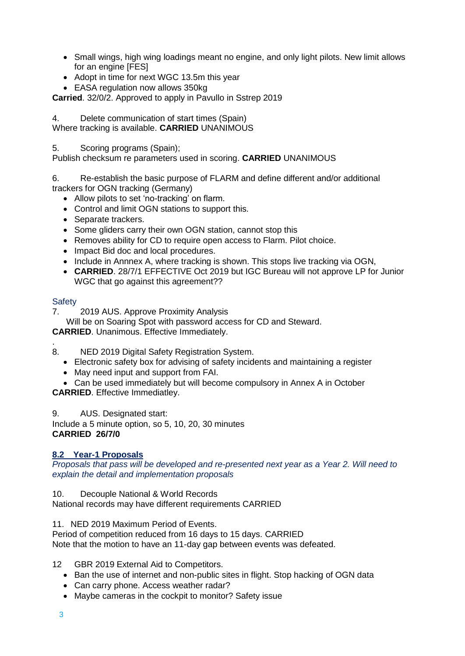- Small wings, high wing loadings meant no engine, and only light pilots. New limit allows for an engine [FES]
- Adopt in time for next WGC 13.5m this year
- EASA regulation now allows 350kg

**Carried**. 32/0/2. Approved to apply in Pavullo in Sstrep 2019

4. Delete communication of start times (Spain) Where tracking is available. **CARRIED** UNANIMOUS

5. Scoring programs (Spain);

Publish checksum re parameters used in scoring. **CARRIED** UNANIMOUS

6. Re-establish the basic purpose of FLARM and define different and/or additional trackers for OGN tracking (Germany)

- Allow pilots to set 'no-tracking' on flarm.
- Control and limit OGN stations to support this.
- Separate trackers.
- Some gliders carry their own OGN station, cannot stop this
- Removes ability for CD to require open access to Flarm. Pilot choice.
- Impact Bid doc and local procedures.
- Include in Annnex A, where tracking is shown. This stops live tracking via OGN,
- **CARRIED**. 28/7/1 EFFECTIVE Oct 2019 but IGC Bureau will not approve LP for Junior WGC that go against this agreement??

### **Safety**

7. 2019 AUS. Approve Proximity Analysis

Will be on Soaring Spot with password access for CD and Steward.

**CARRIED**. Unanimous. Effective Immediately.

- . 8. NED 2019 Digital Safety Registration System.
	- Electronic safety box for advising of safety incidents and maintaining a register
	- May need input and support from FAI.
	- Can be used immediately but will become compulsory in Annex A in October

**CARRIED**. Effective Immediatley.

9. AUS. Designated start:

Include a 5 minute option, so 5, 10, 20, 30 minutes **CARRIED 26/7/0**

# **8.2 Year-1 Proposals**

*Proposals that pass will be developed and re-presented next year as a Year 2. Will need to explain the detail and implementation proposals*

10. Decouple National & World Records

National records may have different requirements CARRIED

11. NED 2019 Maximum Period of Events.

Period of competition reduced from 16 days to 15 days. CARRIED Note that the motion to have an 11-day gap between events was defeated.

12 GBR 2019 External Aid to Competitors.

- Ban the use of internet and non-public sites in flight. Stop hacking of OGN data
- Can carry phone. Access weather radar?
- Maybe cameras in the cockpit to monitor? Safety issue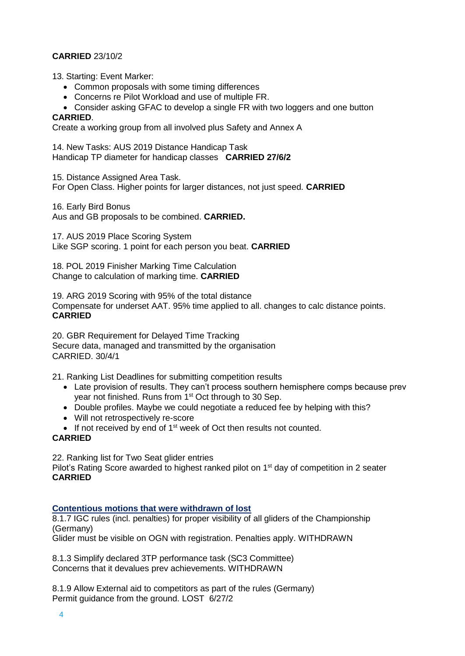# **CARRIED** 23/10/2

13. Starting: Event Marker:

- Common proposals with some timing differences
- Concerns re Pilot Workload and use of multiple FR.

Consider asking GFAC to develop a single FR with two loggers and one button

# **CARRIED**.

Create a working group from all involved plus Safety and Annex A

14. New Tasks: AUS 2019 Distance Handicap Task Handicap TP diameter for handicap classes **CARRIED 27/6/2**

15. Distance Assigned Area Task.

For Open Class. Higher points for larger distances, not just speed. **CARRIED**

16. Early Bird Bonus Aus and GB proposals to be combined. **CARRIED.** 

17. AUS 2019 Place Scoring System Like SGP scoring. 1 point for each person you beat. **CARRIED**

18. POL 2019 Finisher Marking Time Calculation Change to calculation of marking time. **CARRIED**

19. ARG 2019 Scoring with 95% of the total distance Compensate for underset AAT. 95% time applied to all. changes to calc distance points. **CARRIED**

20. GBR Requirement for Delayed Time Tracking Secure data, managed and transmitted by the organisation CARRIED. 30/4/1

21. Ranking List Deadlines for submitting competition results

- Late provision of results. They can't process southern hemisphere comps because prev year not finished. Runs from 1<sup>st</sup> Oct through to 30 Sep.
- Double profiles. Maybe we could negotiate a reduced fee by helping with this?
- Will not retrospectively re-score
- $\bullet$  If not received by end of 1<sup>st</sup> week of Oct then results not counted.

### **CARRIED**

22. Ranking list for Two Seat glider entries

Pilot's Rating Score awarded to highest ranked pilot on 1<sup>st</sup> day of competition in 2 seater **CARRIED**

#### **Contentious motions that were withdrawn of lost**

8.1.7 IGC rules (incl. penalties) for proper visibility of all gliders of the Championship (Germany)

Glider must be visible on OGN with registration. Penalties apply. WITHDRAWN

8.1.3 Simplify declared 3TP performance task (SC3 Committee) Concerns that it devalues prev achievements. WITHDRAWN

8.1.9 Allow External aid to competitors as part of the rules (Germany) Permit guidance from the ground. LOST 6/27/2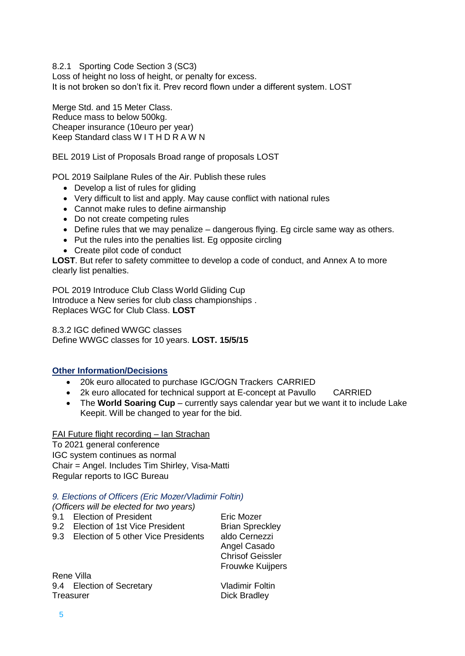8.2.1 Sporting Code Section 3 (SC3)

Loss of height no loss of height, or penalty for excess. It is not broken so don't fix it. Prev record flown under a different system. LOST

Merge Std. and 15 Meter Class. Reduce mass to below 500kg. Cheaper insurance (10euro per year) Keep Standard class W I T H D R A W N

BEL 2019 List of Proposals Broad range of proposals LOST

POL 2019 Sailplane Rules of the Air. Publish these rules

- Develop a list of rules for gliding
- Very difficult to list and apply. May cause conflict with national rules
- Cannot make rules to define airmanship
- Do not create competing rules
- Define rules that we may penalize dangerous flying. Eg circle same way as others.
- Put the rules into the penalties list. Eg opposite circling
- Create pilot code of conduct

**LOST**. But refer to safety committee to develop a code of conduct, and Annex A to more clearly list penalties.

POL 2019 Introduce Club Class World Gliding Cup Introduce a New series for club class championships . Replaces WGC for Club Class. **LOST**

8.3.2 IGC defined WWGC classes Define WWGC classes for 10 years. **LOST. 15/5/15**

### **Other Information/Decisions**

- 20k euro allocated to purchase IGC/OGN Trackers CARRIED
- 2k euro allocated for technical support at E-concept at Pavullo CARRIED
- The **World Soaring Cup** currently says calendar year but we want it to include Lake Keepit. Will be changed to year for the bid.

FAI Future flight recording – Ian Strachan

To 2021 general conference IGC system continues as normal Chair = Angel. Includes Tim Shirley, Visa-Matti Regular reports to IGC Bureau

#### *9. Elections of Officers (Eric Mozer/Vladimir Foltin)*

*(Officers will be elected for two years)*

| 9.1 Election of President          | Eric Mozer             |
|------------------------------------|------------------------|
| 9.2 Election of 1st Vice President | <b>Brian Spreckley</b> |

9.3 Election of 5 other Vice Presidents aldo Cernezzi

Angel Casado Chrisof Geissler Frouwke Kuijpers

Rene Villa 9.4 Election of Secretary **Vladimir Foltin** Treasurer **Dick Bradley**